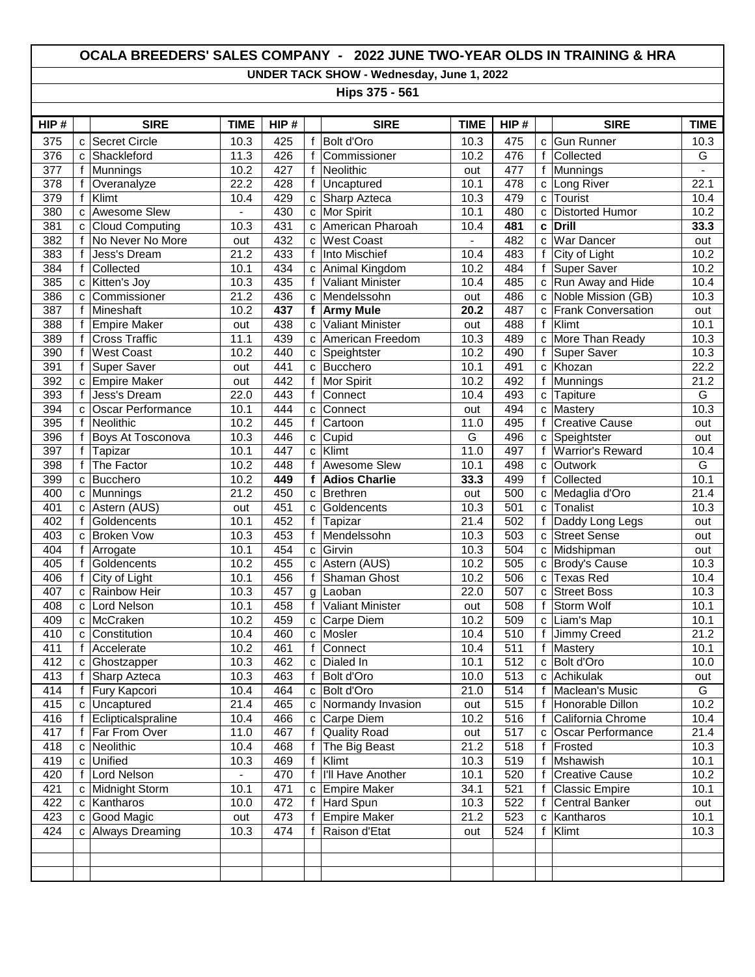## **OCALA BREEDERS' SALES COMPANY - 2022 JUNE TWO-YEAR OLDS IN TRAINING & HRA**

**UNDER TACK SHOW - Wednesday, June 1, 2022**

**Hips 375 - 561**

| HIP#             |              | <b>SIRE</b>            | <b>TIME</b>       | HIP# |              | <b>SIRE</b>             | <b>TIME</b>    | HIP# |   | <b>SIRE</b>               | <b>TIME</b>    |
|------------------|--------------|------------------------|-------------------|------|--------------|-------------------------|----------------|------|---|---------------------------|----------------|
| 375              | C            | Secret Circle          | 10.3              | 425  | f            | Bolt d'Oro              | 10.3           | 475  | C | <b>Gun Runner</b>         | 10.3           |
| 376              | C            | Shackleford            | 11.3              | 426  | $\mathsf{f}$ | Commissioner            | 10.2           | 476  | f | Collected                 | G              |
| 377              | $\mathsf{f}$ | Munnings               | 10.2              | 427  | $\mathsf{f}$ | Neolithic               | out            | 477  | f | Munnings                  | $\blacksquare$ |
| $\overline{378}$ | f            | Overanalyze            | $\overline{22.2}$ | 428  | $\mathsf{f}$ | Uncaptured              | 10.1           | 478  | c | Long River                | 22.1           |
| 379              | f            | Klimt                  | 10.4              | 429  |              | c Sharp Azteca          | 10.3           | 479  | C | Tourist                   | 10.4           |
| 380              | C            | <b>Awesome Slew</b>    |                   | 430  | C            | Mor Spirit              | 10.1           | 480  | C | <b>Distorted Humor</b>    | 10.2           |
| 381              | C            | <b>Cloud Computing</b> | 10.3              | 431  | C            | American Pharoah        | 10.4           | 481  | C | <b>Drill</b>              | 33.3           |
| 382              | f            | No Never No More       | out               | 432  | C            | <b>West Coast</b>       | $\blacksquare$ | 482  | C | <b>War Dancer</b>         | out            |
| 383              | f            | Jess's Dream           | 21.2              | 433  | f            | Into Mischief           | 10.4           | 483  | f | City of Light             | 10.2           |
| 384              | f            | Collected              | 10.1              | 434  |              | c Animal Kingdom        | 10.2           | 484  | f | <b>Super Saver</b>        | 10.2           |
| 385              | C            | Kitten's Joy           | 10.3              | 435  | f            | <b>Valiant Minister</b> | 10.4           | 485  | c | Run Away and Hide         | 10.4           |
| 386              | C            | Commissioner           | 21.2              | 436  |              | c Mendelssohn           | out            | 486  | C | Noble Mission (GB)        | 10.3           |
| 387              | $\mathsf{f}$ | Mineshaft              | 10.2              | 437  | $\mathbf f$  | <b>Army Mule</b>        | 20.2           | 487  | C | <b>Frank Conversation</b> | out            |
| 388              | f            | <b>Empire Maker</b>    | out               | 438  | C            | <b>Valiant Minister</b> | out            | 488  | f | Klimt                     | 10.1           |
| 389              | f            | <b>Cross Traffic</b>   | 11.1              | 439  |              | c American Freedom      | 10.3           | 489  | C | More Than Ready           | 10.3           |
| 390              | f            | <b>West Coast</b>      | 10.2              | 440  | C            | Speightster             | 10.2           | 490  | f | <b>Super Saver</b>        | 10.3           |
| 391              | f            | Super Saver            | out               | 441  | C            | Bucchero                | 10.1           | 491  | C | Khozan                    | 22.2           |
| 392              | C            | <b>Empire Maker</b>    | out               | 442  | f            | Mor Spirit              | 10.2           | 492  | f | <b>Munnings</b>           | 21.2           |
| 393              | f            | Jess's Dream           | 22.0              | 443  | f            | Connect                 | 10.4           | 493  | c | Tapiture                  | G              |
| 394              | C            | Oscar Performance      | 10.1              | 444  | $\mathbf{C}$ | Connect                 | out            | 494  | C | <b>Mastery</b>            | 10.3           |
| 395              | f            | Neolithic              | 10.2              | 445  | f            | Cartoon                 | 11.0           | 495  | f | <b>Creative Cause</b>     | out            |
| 396              | f            | Boys At Tosconova      | 10.3              | 446  | $\mathbf{C}$ | Cupid                   | $\overline{G}$ | 496  | C | Speightster               | out            |
| 397              | f            | Tapizar                | 10.1              | 447  | $\mathbf c$  | Klimt                   | 11.0           | 497  | f | <b>Warrior's Reward</b>   | 10.4           |
| 398              | f            | The Factor             | 10.2              | 448  | $\mathsf{f}$ | Awesome Slew            | 10.1           | 498  | C | Outwork                   | G              |
| 399              | C            | Bucchero               | 10.2              | 449  | f            | <b>Adios Charlie</b>    | 33.3           | 499  | f | Collected                 | 10.1           |
| 400              | C            | Munnings               | 21.2              | 450  | C            | Brethren                | out            | 500  | C | Medaglia d'Oro            | 21.4           |
| 401              | C            | Astern (AUS)           | out               | 451  | C            | Goldencents             | 10.3           | 501  | C | Tonalist                  | 10.3           |
| 402              | f            | Goldencents            | 10.1              | 452  | f            | Tapizar                 | 21.4           | 502  | f | Daddy Long Legs           | out            |
| 403              | C            | <b>Broken Vow</b>      | 10.3              | 453  | f            | Mendelssohn             | 10.3           | 503  | c | <b>Street Sense</b>       | out            |
| 404              | f            | Arrogate               | 10.1              | 454  | $\mathbf{C}$ | Girvin                  | 10.3           | 504  | C | Midshipman                | out            |
| 405              | f            | Goldencents            | 10.2              | 455  | C            | Astern (AUS)            | 10.2           | 505  | c | <b>Brody's Cause</b>      | 10.3           |
| 406              | f            | City of Light          | 10.1              | 456  | f            | Shaman Ghost            | 10.2           | 506  | C | Texas Red                 | 10.4           |
| 407              | C            | Rainbow Heir           | 10.3              | 457  | g            | Laoban                  | 22.0           | 507  | C | <b>Street Boss</b>        | 10.3           |
| 408              | C            | Lord Nelson            | 10.1              | 458  | $\mathbf{f}$ | <b>Valiant Minister</b> | out            | 508  | f | Storm Wolf                | 10.1           |
| 409              | C            | McCraken               | 10.2              | 459  |              | c Carpe Diem            | 10.2           | 509  | C | Liam's Map                | 10.1           |
| 410              | C            | Constitution           | 10.4              | 460  | C            | Mosler                  | 10.4           | 510  | f | Jimmy Creed               | 21.2           |
| 411              | f            | Accelerate             | 10.2              | 461  | f            | Connect                 | 10.4           | 511  | f | Mastery                   | 10.1           |
| 412              | C            | Ghostzapper            | 10.3              | 462  |              | c Dialed In             | 10.1           | 512  | C | Bolt d'Oro                | 10.0           |
| 413              |              | f Sharp Azteca         | 10.3              | 463  | f            | Bolt d'Oro              | 10.0           | 513  |   | c Achikulak               | out            |
| 414              |              | <b>Fury Kapcori</b>    | 10.4              | 464  |              | c Bolt d'Oro            | 21.0           | 514  |   | Maclean's Music           | G              |
| 415              |              | c Uncaptured           | 21.4              | 465  |              | c Normandy Invasion     | out            | 515  |   | Honorable Dillon          | 10.2           |
| 416              |              | Eclipticalspraline     | 10.4              | 466  |              | c Carpe Diem            | 10.2           | 516  |   | California Chrome         | 10.4           |
| 417              | $\mathsf{f}$ | <b>Far From Over</b>   | 11.0              | 467  | $\mathsf{f}$ | <b>Quality Road</b>     | out            | 517  | c | Oscar Performance         | 21.4           |
| 418              | C            | Neolithic              | 10.4              | 468  | $\mathbf{f}$ | The Big Beast           | 21.2           | 518  | f | Frosted                   | 10.3           |
| 419              | C            | Unified                | 10.3              | 469  | f            | Klimt                   | 10.3           | 519  |   | Mshawish                  | 10.1           |
| 420              | f            | Lord Nelson            |                   | 470  | f            | I'll Have Another       | 10.1           | 520  |   | <b>Creative Cause</b>     | 10.2           |
| 421              | с            | Midnight Storm         | 10.1              | 471  | C            | <b>Empire Maker</b>     | 34.1           | 521  | f | <b>Classic Empire</b>     | 10.1           |
| 422              | с            | Kantharos              | 10.0              | 472  | f            | <b>Hard Spun</b>        | 10.3           | 522  | f | Central Banker            | out            |
| 423              | с            | Good Magic             | out               | 473  | f            | <b>Empire Maker</b>     | 21.2           | 523  | C | Kantharos                 | 10.1           |
| 424              |              | c Always Dreaming      | 10.3              | 474  |              | Raison d'Etat           | out            | 524  | f | Klimt                     | 10.3           |
|                  |              |                        |                   |      |              |                         |                |      |   |                           |                |
|                  |              |                        |                   |      |              |                         |                |      |   |                           |                |
|                  |              |                        |                   |      |              |                         |                |      |   |                           |                |